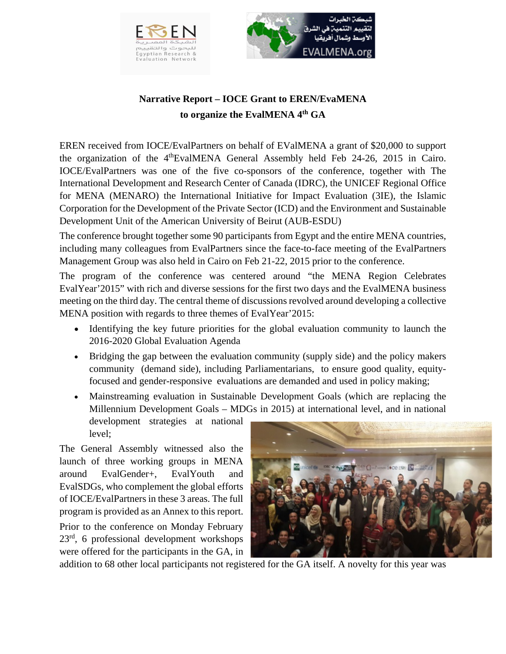



## **Narrative Report – IOCE Grant to EREN/EvaMENA to organize the EvalMENA 4th GA**

EREN received from IOCE/EvalPartners on behalf of EValMENA a grant of \$20,000 to support the organization of the  $4<sup>th</sup>EvalMENA$  General Assembly held Feb 24-26, 2015 in Cairo. IOCE/EvalPartners was one of the five co-sponsors of the conference, together with The International Development and Research Center of Canada (IDRC), the UNICEF Regional Office for MENA (MENARO) the International Initiative for Impact Evaluation (3IE), the Islamic Corporation for the Development of the Private Sector (ICD) and the Environment and Sustainable Development Unit of the American University of Beirut (AUB-ESDU)

The conference brought together some 90 participants from Egypt and the entire MENA countries, including many colleagues from EvalPartners since the face-to-face meeting of the EvalPartners Management Group was also held in Cairo on Feb 21-22, 2015 prior to the conference.

The program of the conference was centered around "the MENA Region Celebrates EvalYear'2015" with rich and diverse sessions for the first two days and the EvalMENA business meeting on the third day. The central theme of discussions revolved around developing a collective MENA position with regards to three themes of EvalYear'2015:

- Identifying the key future priorities for the global evaluation community to launch the 2016-2020 Global Evaluation Agenda
- Bridging the gap between the evaluation community (supply side) and the policy makers community (demand side), including Parliamentarians, to ensure good quality, equityfocused and gender-responsive evaluations are demanded and used in policy making;
- Mainstreaming evaluation in Sustainable Development Goals (which are replacing the Millennium Development Goals – MDGs in 2015) at international level, and in national

development strategies at national level;

The General Assembly witnessed also the launch of three working groups in MENA around EvalGender+, EvalYouth and EvalSDGs, who complement the global efforts of IOCE/EvalPartners in these 3 areas. The full program is provided as an Annex to this report. Prior to the conference on Monday February  $23<sup>rd</sup>$ , 6 professional development workshops were offered for the participants in the GA, in



addition to 68 other local participants not registered for the GA itself. A novelty for this year was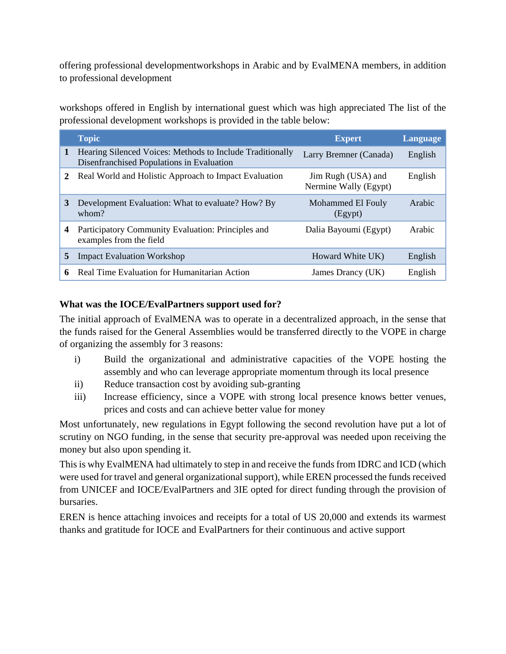offering professional developmentworkshops in Arabic and by EvalMENA members, in addition to professional development

workshops offered in English by international guest which was high appreciated The list of the professional development workshops is provided in the table below:

|              | <b>Topic</b>                                                                                           | <b>Expert</b>                               | Language |
|--------------|--------------------------------------------------------------------------------------------------------|---------------------------------------------|----------|
| $\mathbf{1}$ | Hearing Silenced Voices: Methods to Include Traditionally<br>Disenfranchised Populations in Evaluation | Larry Bremner (Canada)                      | English  |
| 2            | Real World and Holistic Approach to Impact Evaluation                                                  | Jim Rugh (USA) and<br>Nermine Wally (Egypt) | English  |
| 3            | Development Evaluation: What to evaluate? How? By<br>whom?                                             | Mohammed El Fouly<br>(Egypt)                | Arabic   |
| 4            | Participatory Community Evaluation: Principles and<br>examples from the field                          | Dalia Bayoumi (Egypt)                       | Arabic   |
| 5            | <b>Impact Evaluation Workshop</b>                                                                      | Howard White UK)                            | English  |
| 6            | Real Time Evaluation for Humanitarian Action                                                           | James Drancy (UK)                           | English  |

## **What was the IOCE/EvalPartners support used for?**

The initial approach of EvalMENA was to operate in a decentralized approach, in the sense that the funds raised for the General Assemblies would be transferred directly to the VOPE in charge of organizing the assembly for 3 reasons:

- i) Build the organizational and administrative capacities of the VOPE hosting the assembly and who can leverage appropriate momentum through its local presence
- ii) Reduce transaction cost by avoiding sub-granting
- iii) Increase efficiency, since a VOPE with strong local presence knows better venues, prices and costs and can achieve better value for money

Most unfortunately, new regulations in Egypt following the second revolution have put a lot of scrutiny on NGO funding, in the sense that security pre-approval was needed upon receiving the money but also upon spending it.

This is why EvalMENA had ultimately to step in and receive the funds from IDRC and ICD (which were used for travel and general organizational support), while EREN processed the funds received from UNICEF and IOCE/EvalPartners and 3IE opted for direct funding through the provision of bursaries.

EREN is hence attaching invoices and receipts for a total of US 20,000 and extends its warmest thanks and gratitude for IOCE and EvalPartners for their continuous and active support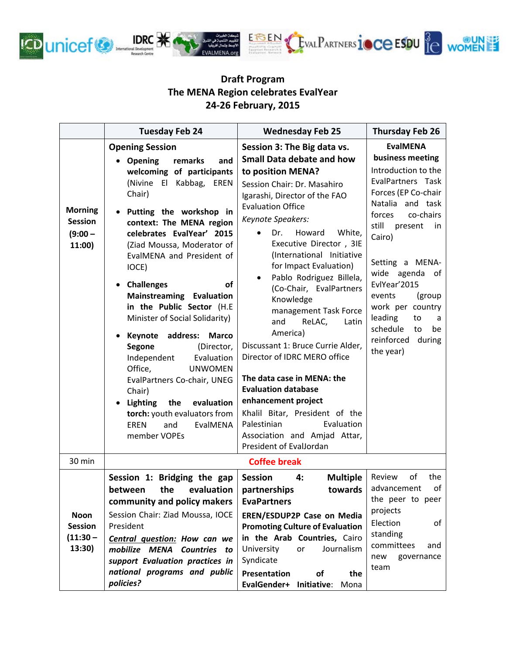

## **Draft Program The MENA Region celebrates EvalYear 24-26 February, 2015**

|                                                         | <b>Tuesday Feb 24</b>                                                                                                                                                                                                                                                                                                                                                                                                                                                                                                                                                                                                                                                                                       | <b>Wednesday Feb 25</b>                                                                                                                                                                                                                                                                                                                                                                                                                                                                                                                                                                                                                                                                                                                 | <b>Thursday Feb 26</b>                                                                                                                                                                                                                                                                                                                                              |
|---------------------------------------------------------|-------------------------------------------------------------------------------------------------------------------------------------------------------------------------------------------------------------------------------------------------------------------------------------------------------------------------------------------------------------------------------------------------------------------------------------------------------------------------------------------------------------------------------------------------------------------------------------------------------------------------------------------------------------------------------------------------------------|-----------------------------------------------------------------------------------------------------------------------------------------------------------------------------------------------------------------------------------------------------------------------------------------------------------------------------------------------------------------------------------------------------------------------------------------------------------------------------------------------------------------------------------------------------------------------------------------------------------------------------------------------------------------------------------------------------------------------------------------|---------------------------------------------------------------------------------------------------------------------------------------------------------------------------------------------------------------------------------------------------------------------------------------------------------------------------------------------------------------------|
| <b>Morning</b><br><b>Session</b><br>$(9:00 -$<br>11:00) | <b>Opening Session</b><br>• Opening<br>remarks<br>and<br>welcoming of participants<br>(Nivine El<br>Kabbag, EREN<br>Chair)<br>Putting the workshop in<br>context: The MENA region<br>celebrates EvalYear' 2015<br>(Ziad Moussa, Moderator of<br>EvalMENA and President of<br>IOCE)<br><b>Challenges</b><br>οf<br><b>Mainstreaming Evaluation</b><br>in the Public Sector (H.E<br>Minister of Social Solidarity)<br>address:<br><b>Marco</b><br>Keynote<br>Segone<br>(Director,<br>Independent<br>Evaluation<br>Office,<br><b>UNWOMEN</b><br>EvalPartners Co-chair, UNEG<br>Chair)<br><b>Lighting</b><br>the<br>evaluation<br>torch: youth evaluators from<br>EvalMENA<br><b>EREN</b><br>and<br>member VOPEs | Session 3: The Big data vs.<br><b>Small Data debate and how</b><br>to position MENA?<br>Session Chair: Dr. Masahiro<br>Igarashi, Director of the FAO<br><b>Evaluation Office</b><br>Keynote Speakers:<br>Howard<br>White,<br>Dr.<br>Executive Director, 3IE<br>(International Initiative<br>for Impact Evaluation)<br>Pablo Rodriguez Billela,<br>(Co-Chair, EvalPartners<br>Knowledge<br>management Task Force<br>ReLAC,<br>and<br>Latin<br>America)<br>Discussant 1: Bruce Currie Alder,<br>Director of IDRC MERO office<br>The data case in MENA: the<br><b>Evaluation database</b><br>enhancement project<br>Khalil Bitar, President of the<br>Palestinian<br>Evaluation<br>Association and Amjad Attar,<br>President of EvalJordan | <b>EvalMENA</b><br>business meeting<br>Introduction to the<br>EvalPartners Task<br>Forces (EP Co-chair<br>Natalia and task<br>co-chairs<br>forces<br>still<br>present<br>in.<br>Cairo)<br>Setting a MENA-<br>wide agenda of<br>EvlYear'2015<br>events<br>(group<br>work per country<br>leading<br>to<br>a<br>schedule<br>to<br>be<br>reinforced during<br>the year) |
| 30 min                                                  | <b>Coffee break</b>                                                                                                                                                                                                                                                                                                                                                                                                                                                                                                                                                                                                                                                                                         |                                                                                                                                                                                                                                                                                                                                                                                                                                                                                                                                                                                                                                                                                                                                         |                                                                                                                                                                                                                                                                                                                                                                     |
| <b>Noon</b><br><b>Session</b><br>$(11:30 -$<br>13:30)   | Session 1: Bridging the gap<br>the<br>evaluation<br>between<br>community and policy makers<br>Session Chair: Ziad Moussa, IOCE<br>President<br>Central question: How can we<br>mobilize MENA Countries to<br>support Evaluation practices in<br>national programs and public<br>policies?                                                                                                                                                                                                                                                                                                                                                                                                                   | <b>Session</b><br><b>Multiple</b><br>4:<br>partnerships<br>towards<br><b>EvaPartners</b><br><b>EREN/ESDUP2P Case on Media</b><br><b>Promoting Culture of Evaluation</b><br>in the Arab Countries, Cairo<br>University<br>Journalism<br>or<br>Syndicate<br>Presentation<br>of<br>the<br>EvalGender+<br>Initiative:<br>Mona                                                                                                                                                                                                                                                                                                                                                                                                               | of<br>the<br>Review<br>оf<br>advancement<br>the peer to peer<br>projects<br>Election<br>of<br>standing<br>committees<br>and<br>new<br>governance<br>team                                                                                                                                                                                                            |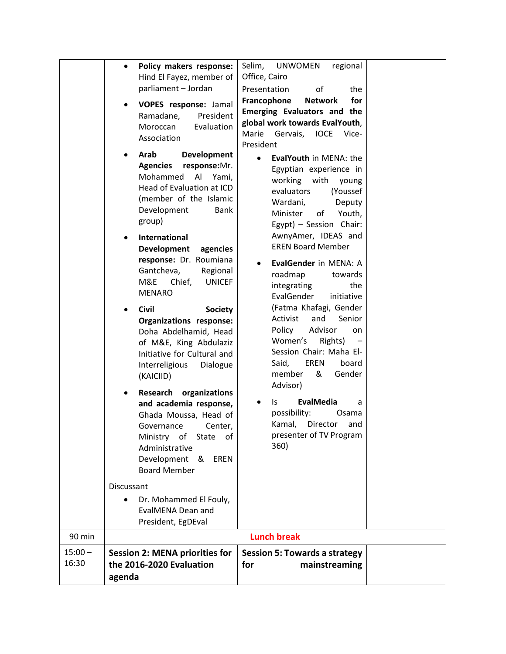|                    | Policy makers response:<br>Hind El Fayez, member of<br>parliament - Jordan<br>VOPES response: Jamal<br>President<br>Ramadane,<br>Evaluation<br>Moroccan<br>Association<br>Development<br>Arab                                                                                                                                                                                                                                                                                                                 | Selim,<br><b>UNWOMEN</b><br>regional<br>Office, Cairo<br>of<br>Presentation<br>the<br>for<br>Francophone<br><b>Network</b><br>Emerging Evaluators and the<br>global work towards EvalYouth,<br>Marie<br>Gervais,<br><b>IOCE</b><br>Vice-<br>President<br>EvalYouth in MENA: the                                                                                                                                                                                                                            |  |
|--------------------|---------------------------------------------------------------------------------------------------------------------------------------------------------------------------------------------------------------------------------------------------------------------------------------------------------------------------------------------------------------------------------------------------------------------------------------------------------------------------------------------------------------|------------------------------------------------------------------------------------------------------------------------------------------------------------------------------------------------------------------------------------------------------------------------------------------------------------------------------------------------------------------------------------------------------------------------------------------------------------------------------------------------------------|--|
|                    | <b>Agencies</b><br>response:Mr.<br>Al<br>Mohammed<br>Yami,<br>Head of Evaluation at ICD<br>(member of the Islamic<br>Development<br><b>Bank</b><br>group)<br><b>International</b><br>Development<br>agencies<br>response: Dr. Roumiana<br>Gantcheva,<br>Regional<br>M&E<br>Chief,<br><b>UNICEF</b><br><b>MENARO</b><br><b>Civil</b><br><b>Society</b><br>Organizations response:<br>Doha Abdelhamid, Head<br>of M&E, King Abdulaziz<br>Initiative for Cultural and<br>Interreligious<br>Dialogue<br>(KAICIID) | Egyptian experience in<br>working<br>with<br>young<br>evaluators<br>(Youssef<br>Wardani,<br>Deputy<br>Minister<br>of<br>Youth,<br>Egypt) - Session Chair:<br>AwnyAmer, IDEAS and<br><b>EREN Board Member</b><br>EvalGender in MENA: A<br>roadmap<br>towards<br>integrating<br>the<br>EvalGender<br>initiative<br>(Fatma Khafagi, Gender<br>Activist<br>and<br>Senior<br>Advisor<br>Policy<br>on<br>Women's<br>Rights)<br>Session Chair: Maha El-<br><b>EREN</b><br>Said,<br>board<br>member<br>&<br>Gender |  |
|                    | organizations<br>Research<br>and academia response,<br>Ghada Moussa, Head of<br>Governance<br>Center,<br>Ministry of State of<br>Administrative<br>Development &<br><b>EREN</b><br><b>Board Member</b>                                                                                                                                                                                                                                                                                                        | Advisor)<br>EvalMedia<br>Is.<br>a<br>possibility:<br>Osama<br>Director<br>Kamal,<br>and<br>presenter of TV Program<br>360)                                                                                                                                                                                                                                                                                                                                                                                 |  |
|                    | Discussant<br>Dr. Mohammed El Fouly,<br><b>EvalMENA Dean and</b><br>President, EgDEval                                                                                                                                                                                                                                                                                                                                                                                                                        |                                                                                                                                                                                                                                                                                                                                                                                                                                                                                                            |  |
| 90 min             |                                                                                                                                                                                                                                                                                                                                                                                                                                                                                                               | <b>Lunch break</b>                                                                                                                                                                                                                                                                                                                                                                                                                                                                                         |  |
| $15:00 -$<br>16:30 | <b>Session 2: MENA priorities for</b><br>the 2016-2020 Evaluation<br>agenda                                                                                                                                                                                                                                                                                                                                                                                                                                   | <b>Session 5: Towards a strategy</b><br>mainstreaming<br>for                                                                                                                                                                                                                                                                                                                                                                                                                                               |  |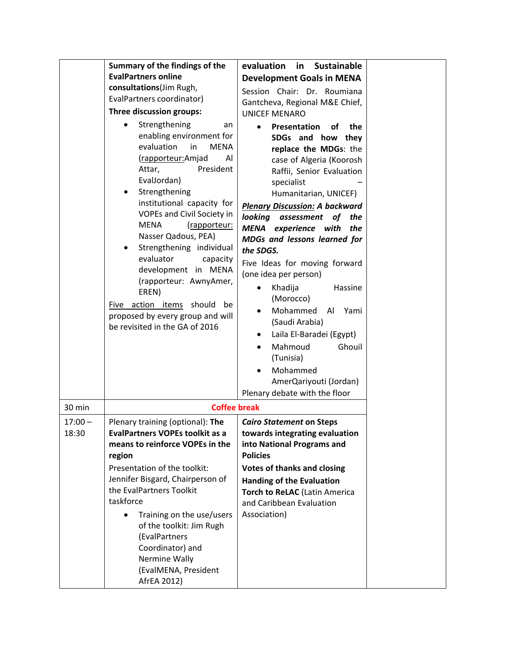|                    | Summary of the findings of the<br><b>EvalPartners online</b><br>consultations(Jim Rugh,<br>EvalPartners coordinator)<br>Three discussion groups:<br>Strengthening<br>$\bullet$<br>an<br>enabling environment for<br>evaluation<br>in<br><b>MENA</b>                                                                                                                                                                      | evaluation<br>in<br><b>Sustainable</b><br><b>Development Goals in MENA</b><br>Session Chair: Dr. Roumiana<br>Gantcheva, Regional M&E Chief,<br><b>UNICEF MENARO</b><br>the<br>Presentation<br><b>of</b><br>SDGs and how<br>they<br>replace the MDGs: the                                                                                                                                                                                                                                                       |  |
|--------------------|--------------------------------------------------------------------------------------------------------------------------------------------------------------------------------------------------------------------------------------------------------------------------------------------------------------------------------------------------------------------------------------------------------------------------|----------------------------------------------------------------------------------------------------------------------------------------------------------------------------------------------------------------------------------------------------------------------------------------------------------------------------------------------------------------------------------------------------------------------------------------------------------------------------------------------------------------|--|
|                    | (rapporteur: Amjad<br>Al<br>President<br>Attar,<br>EvalJordan)<br>Strengthening<br>institutional capacity for<br>VOPEs and Civil Society in<br><b>MENA</b><br>(rapporteur:<br>Nasser Qadous, PEA)<br>Strengthening individual<br>evaluator<br>capacity<br>development in MENA<br>(rapporteur: AwnyAmer,<br>EREN)<br>Five action items should<br>be<br>proposed by every group and will<br>be revisited in the GA of 2016 | case of Algeria (Koorosh<br>Raffii, Senior Evaluation<br>specialist<br>Humanitarian, UNICEF)<br><b>Plenary Discussion: A backward</b><br>looking<br>assessment<br>of<br>the<br><b>MENA</b><br>experience with<br>the<br>MDGs and lessons learned for<br>the SDGS.<br>Five Ideas for moving forward<br>(one idea per person)<br>Khadija<br>Hassine<br>(Morocco)<br>Mohammed<br>Al<br>Yami<br>(Saudi Arabia)<br>Laila El-Baradei (Egypt)<br>Mahmoud<br>Ghouil<br>(Tunisia)<br>Mohammed<br>AmerQariyouti (Jordan) |  |
| 30 min             | <b>Coffee break</b>                                                                                                                                                                                                                                                                                                                                                                                                      | Plenary debate with the floor                                                                                                                                                                                                                                                                                                                                                                                                                                                                                  |  |
| $17:00 -$<br>18:30 | Plenary training (optional): The<br><b>EvalPartners VOPEs toolkit as a</b><br>means to reinforce VOPEs in the<br>region<br>Presentation of the toolkit:<br>Jennifer Bisgard, Chairperson of<br>the EvalPartners Toolkit<br>taskforce<br>Training on the use/users<br>of the toolkit: Jim Rugh<br>(EvalPartners<br>Coordinator) and<br>Nermine Wally<br>(EvalMENA, President<br>AfrEA 2012)                               | <b>Cairo Statement on Steps</b><br>towards integrating evaluation<br>into National Programs and<br><b>Policies</b><br><b>Votes of thanks and closing</b><br><b>Handing of the Evaluation</b><br><b>Torch to ReLAC (Latin America</b><br>and Caribbean Evaluation<br>Association)                                                                                                                                                                                                                               |  |